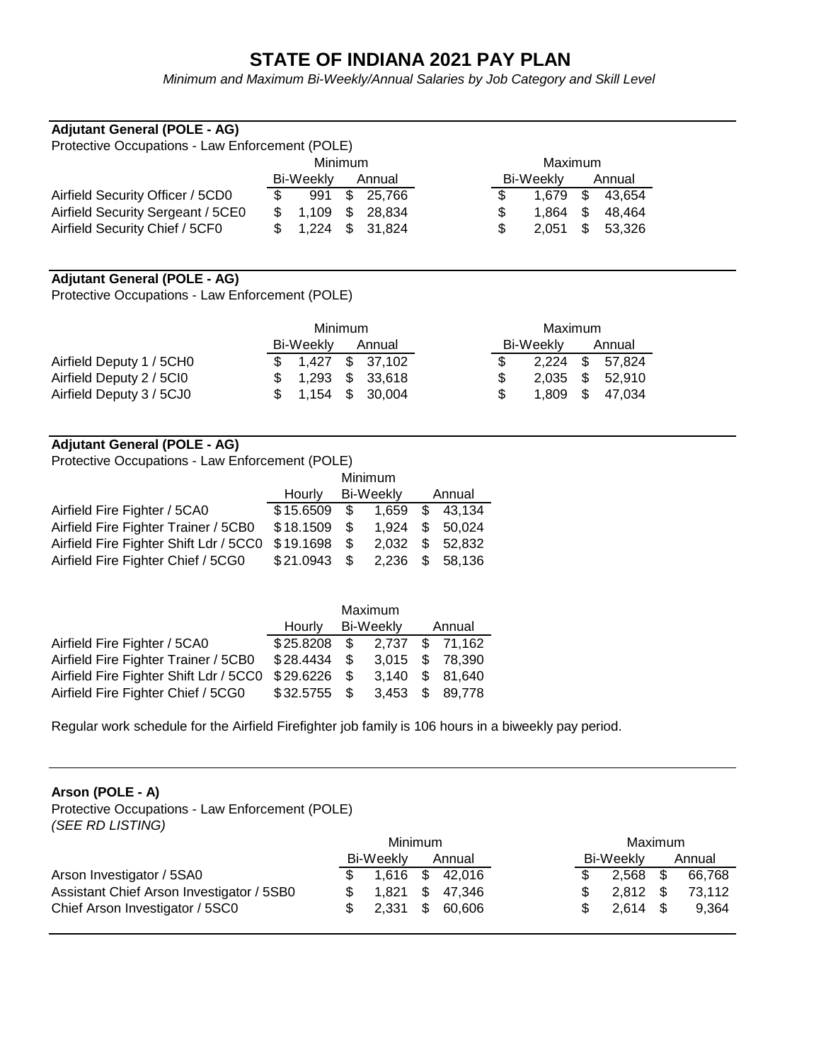## **STATE OF INDIANA 2021 PAY PLAN**

*Minimum and Maximum Bi-Weekly/Annual Salaries by Job Category and Skill Level*

### **Adjutant General (POLE - AG)**

| Protective Occupations - Law Enforcement (POLE) |                     |         |     |           |           |     |       |        |        |  |  |
|-------------------------------------------------|---------------------|---------|-----|-----------|-----------|-----|-------|--------|--------|--|--|
|                                                 |                     | Maximum |     |           |           |     |       |        |        |  |  |
|                                                 | Bi-Weekly<br>Annual |         |     |           | Bi-Weekly |     |       | Annual |        |  |  |
| Airfield Security Officer / 5CD0                | \$.                 | 991     | \$  | 25,766    |           | \$. | 1.679 | - \$   | 43.654 |  |  |
| Airfield Security Sergeant / 5CE0               |                     | 1.109   | - S | 28.834    |           | \$. | 1.864 | -S     | 48.464 |  |  |
| Airfield Security Chief / 5CF0                  |                     | \$1.224 |     | \$ 31.824 |           | \$. | 2.051 | - SS   | 53.326 |  |  |

#### **Adjutant General (POLE - AG)**

Protective Occupations - Law Enforcement (POLE)

|                          | Minimum              | Maximum                 |
|--------------------------|----------------------|-------------------------|
|                          | Bi-Weekly<br>Annual  | Bi-Weeklv<br>Annual     |
| Airfield Deputy 1 / 5CH0 | \$37,102<br>\$1.427  | - SS<br>2,224<br>57.824 |
| Airfield Deputy 2 / 5Cl0 | \$ 33,618<br>\$1.293 | - SS<br>2.035<br>52.910 |
| Airfield Deputy 3 / 5CJ0 | $$1,154$ \$ 30,004   | 1,809 \$ 47,034         |

### **Adjutant General (POLE - AG)**

Protective Occupations - Law Enforcement (POLE)

|                                                  | Minimum   |           |                  |          |                 |  |
|--------------------------------------------------|-----------|-----------|------------------|----------|-----------------|--|
|                                                  | Hourly    |           | <b>Bi-Weekly</b> | Annual   |                 |  |
| Airfield Fire Fighter / 5CA0                     | \$15.6509 | $\sim$ \$ | 1.659            | S.       | 43.134          |  |
| Airfield Fire Fighter Trainer / 5CB0             | \$18.1509 | - SS      | 1.924            | <b>S</b> | 50,024          |  |
| Airfield Fire Fighter Shift Ldr / 5CC0 \$19.1698 |           | - \$      | 2.032            |          | \$ 52.832       |  |
| Airfield Fire Fighter Chief / 5CG0               | \$21.0943 | - \$      |                  |          | 2.236 \$ 58.136 |  |

|                                                  | Maximum   |               |           |     |                 |  |
|--------------------------------------------------|-----------|---------------|-----------|-----|-----------------|--|
|                                                  | Hourly    |               | Bi-Weekly |     | Annual          |  |
| Airfield Fire Fighter / 5CA0                     | \$25.8208 | - \$          | 2.737     |     | \$71,162        |  |
| Airfield Fire Fighter Trainer / 5CB0             | \$28.4434 | $\mathcal{S}$ |           |     | 3,015 \$ 78,390 |  |
| Airfield Fire Fighter Shift Ldr / 5CC0 \$29.6226 |           | - \$          | 3.140     |     | \$ 81,640       |  |
| Airfield Fire Fighter Chief / 5CG0               | \$32.5755 | - \$          | 3.453     | \$. | 89.778          |  |

Regular work schedule for the Airfield Firefighter job family is 106 hours in a biweekly pay period.

#### **Arson (POLE - A)**

Protective Occupations - Law Enforcement (POLE) *(SEE RD LISTING)*

|                                           | Minimum |           |     |                 | Maximum   |            |        |        |
|-------------------------------------------|---------|-----------|-----|-----------------|-----------|------------|--------|--------|
|                                           |         | Bi-Weekly |     | Annual          | Bi-Weekly |            | Annual |        |
| Arson Investigator / 5SA0                 |         |           |     | 1,616 \$ 42,016 |           | 2.568      |        | 66.768 |
| Assistant Chief Arson Investigator / 5SB0 |         | 1.821     | S S | 47.346          |           | $2,812$ \$ |        | 73.112 |
| Chief Arson Investigator / 5SC0           |         | 2.331     | S.  | 60.606          |           | $2.614$ \$ |        | 9.364  |